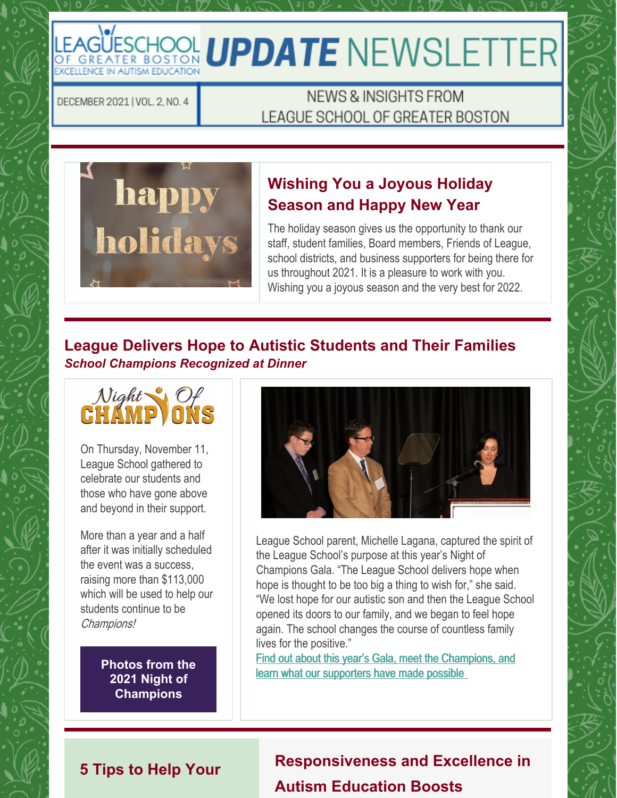# LEAGÜESCHOOL **UPDATE** NEWSLETTER

DECEMBER 2021 | VOL. 2, NO. 4

## NEWS & INSIGHTS FROM LEAGUE SCHOOL OF GREATER BOSTON



## **Wishing You a Joyous Holiday Season and Happy New Year**

The holiday season gives us the opportunity to thank our staff, student families, Board members, Friends of League, school districts, and business supporters for being there for us throughout 2021. It is a pleasure to work with you. Wishing you a joyous season and the very best for 2022.

#### **League Delivers Hope to Autistic Students and Their Families** *School Champions Recognized at Dinner*



On Thursday, November 11, League School gathered to celebrate our students and those who have gone above and beyond in their support.

More than a year and a half after it was initially scheduled the event was a success, raising more than \$113,000 which will be used to help our students continue to be Champions!

> **Photos from the 2021 Night of [Champions](https://link.shutterfly.com/sfSog8nDjlb)**



League School parent, Michelle Lagana, captured the spirit of the League School's purpose at this year's Night of Champions Gala. "The League School delivers hope when hope is thought to be too big a thing to wish for," she said. "We lost hope for our autistic son and then the League School opened its doors to our family, and we began to feel hope again. The school changes the course of countless family lives for the positive."

[F](https://leagueschool.org/league-delivers-hope-to-autistic-students-and-their-families/)ind out about this year's Gala, meet the [Champions,](https://leagueschool.org/league-delivers-hope-to-autistic-students-and-their-families/) and learn what our supporters have made possible

## **5 Tips to Help Your**

**Responsiveness and Excellence in Autism Education Boosts**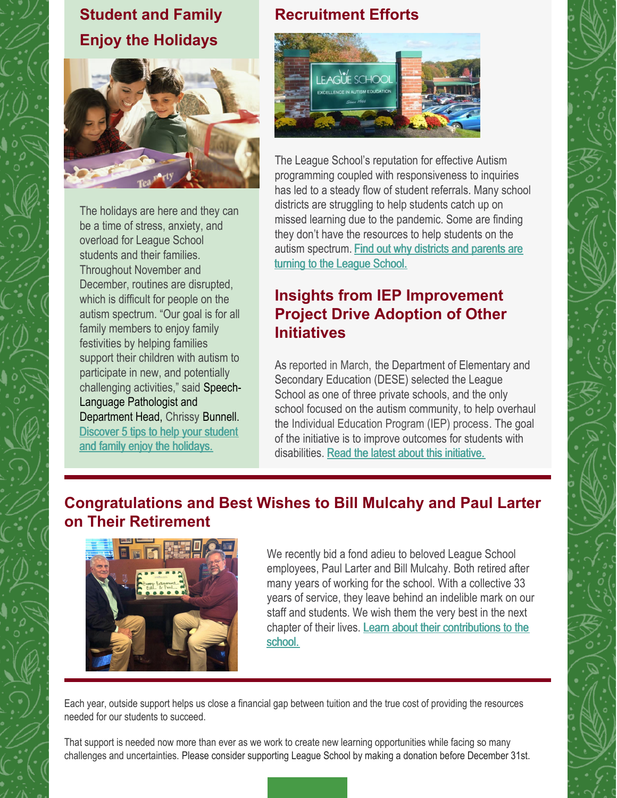## **Student and Family Enjoy the Holidays**



The holidays are here and they can be a time of stress, anxiety, and overload for League School students and their families. Throughout November and December, routines are disrupted, which is difficult for people on the autism spectrum. "Our goal is for all family members to enjoy family festivities by helping families support their children with autism to participate in new, and potentially challenging activities," said Speech-Language Pathologist and Department Head, Chrissy Bunnell. [Discover](https://leagueschool.org/5-tips-to-help-your-student-and-family-enjoy-the-holidays/) 5 tips to help your student and family enjoy the holidays.

## **Recruitment Efforts**



The League School's reputation for effective Autism programming coupled with responsiveness to inquiries has led to a steady flow of student referrals. Many school districts are struggling to help students catch up on missed learning due to the pandemic. Some are finding they don't have the resources to help students on the autism [spectrum.](https://leagueschool.org/responsiveness-and-excellence-in-autism-education-boosts-recruitment-efforts/) Find out why districts and parents are turning to the League School.

## **Insights from IEP Improvement Project Drive Adoption of Other Initiatives**

As reported in March, the Department of Elementary and Secondary Education (DESE) selected the League School as one of three private schools, and the only school focused on the autism community, to help overhaul the Individual Education Program (IEP) process. The goal of the initiative is to improve outcomes for students with disabilities. Read the latest about this [initiative.](https://leagueschool.org/insights-from-iep-improvement-project-drive-adoption-of-other-initiatives/)

## **Congratulations and Best Wishes to Bill Mulcahy and Paul Larter on Their Retirement**



We recently bid a fond adieu to beloved League School employees, Paul Larter and Bill Mulcahy. Both retired after many years of working for the school. With a collective 33 years of service, they leave behind an indelible mark on our staff and students. We wish them the very best in the next chapter of their lives. Learn about their [contributions](https://leagueschool.org/congratulations-and-best-wishes-to-bill-mulcahy-and-paul-larter-on-their-retirement/) to the school.

Each year, outside support helps us close a financial gap between tuition and the true cost of providing the resources needed for our students to succeed.

That support is needed now more than ever as we work to create new learning opportunities while facing so many challenges and uncertainties. Please consider supporting League School by making a donation before December 31st.